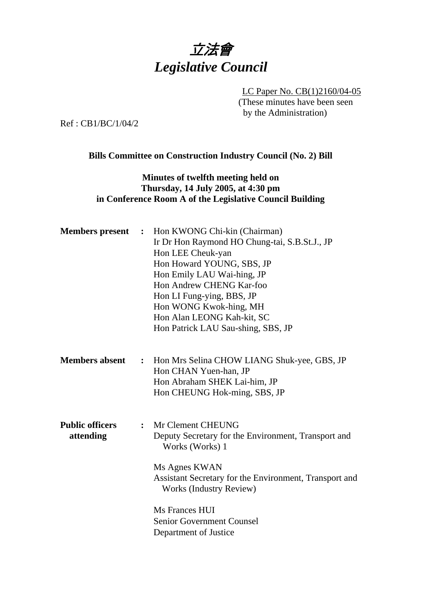

LC Paper No. CB(1)2160/04-05 (These minutes have been seen by the Administration)

Ref : CB1/BC/1/04/2

## **Bills Committee on Construction Industry Council (No. 2) Bill**

## **Minutes of twelfth meeting held on Thursday, 14 July 2005, at 4:30 pm in Conference Room A of the Legislative Council Building**

| <b>Members</b> present              | $\ddot{\cdot}$ | Hon KWONG Chi-kin (Chairman)<br>Ir Dr Hon Raymond HO Chung-tai, S.B.St.J., JP<br>Hon LEE Cheuk-yan<br>Hon Howard YOUNG, SBS, JP<br>Hon Emily LAU Wai-hing, JP<br>Hon Andrew CHENG Kar-foo<br>Hon LI Fung-ying, BBS, JP<br>Hon WONG Kwok-hing, MH<br>Hon Alan LEONG Kah-kit, SC<br>Hon Patrick LAU Sau-shing, SBS, JP |
|-------------------------------------|----------------|----------------------------------------------------------------------------------------------------------------------------------------------------------------------------------------------------------------------------------------------------------------------------------------------------------------------|
| <b>Members absent</b>               |                | : Hon Mrs Selina CHOW LIANG Shuk-yee, GBS, JP<br>Hon CHAN Yuen-han, JP<br>Hon Abraham SHEK Lai-him, JP<br>Hon CHEUNG Hok-ming, SBS, JP                                                                                                                                                                               |
| <b>Public officers</b><br>attending | $\ddot{\cdot}$ | Mr Clement CHEUNG<br>Deputy Secretary for the Environment, Transport and<br>Works (Works) 1<br>Ms Agnes KWAN<br>Assistant Secretary for the Environment, Transport and<br><b>Works (Industry Review)</b><br>Ms Frances HUI<br><b>Senior Government Counsel</b><br>Department of Justice                              |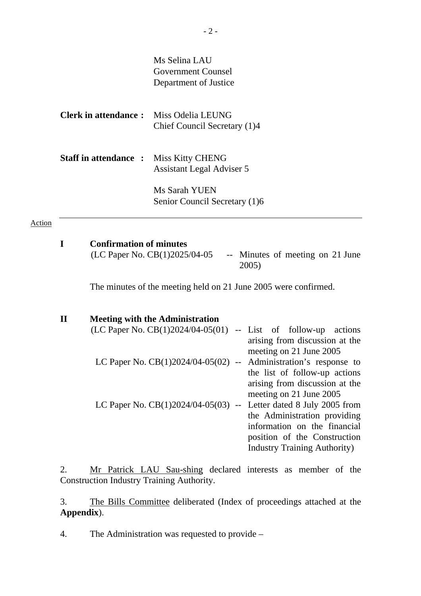|                             | Ms Selina LAU                                        |
|-----------------------------|------------------------------------------------------|
|                             | <b>Government Counsel</b>                            |
|                             | Department of Justice                                |
| Clerk in attendance :       | Miss Odelia LEUNG                                    |
|                             | Chief Council Secretary (1)4                         |
| <b>Staff in attendance:</b> | <b>Miss Kitty CHENG</b><br>Assistant Legal Adviser 5 |
|                             | Ms Sarah YUEN                                        |
|                             | Senior Council Secretary (1)6                        |
|                             |                                                      |

**I** Confirmation of minutes<br>(LC Paper No. CB(1)2025/04-05

Action

-- Minutes of meeting on 21 June 2005)

The minutes of the meeting held on 21 June 2005 were confirmed.

| <b>Meeting with the Administration</b>                              |                                      |
|---------------------------------------------------------------------|--------------------------------------|
| $(LC$ Paper No. $CB(1)2024/04-05(01)$ -- List of follow-up actions  |                                      |
|                                                                     | arising from discussion at the       |
|                                                                     | meeting on 21 June 2005              |
| LC Paper No. $CB(1)2024/04-05(02)$ --                               | Administration's response to         |
|                                                                     | the list of follow-up actions        |
|                                                                     | arising from discussion at the       |
|                                                                     | meeting on 21 June 2005              |
| LC Paper No. $CB(1)2024/04-05(03)$ -- Letter dated 8 July 2005 from |                                      |
|                                                                     | the Administration providing         |
|                                                                     | information on the financial         |
|                                                                     | position of the Construction         |
|                                                                     | <b>Industry Training Authority</b> ) |

2. Mr Patrick LAU Sau-shing declared interests as member of the Construction Industry Training Authority.

3. The Bills Committee deliberated (Index of proceedings attached at the **Appendix**).

4. The Administration was requested to provide –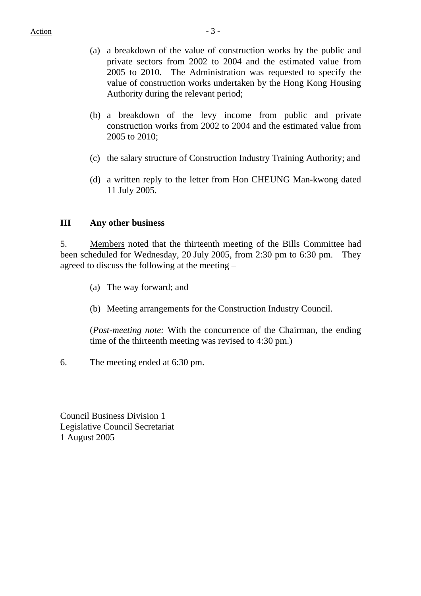- (a) a breakdown of the value of construction works by the public and private sectors from 2002 to 2004 and the estimated value from 2005 to 2010. The Administration was requested to specify the value of construction works undertaken by the Hong Kong Housing Authority during the relevant period;
- (b) a breakdown of the levy income from public and private construction works from 2002 to 2004 and the estimated value from 2005 to 2010;
- (c) the salary structure of Construction Industry Training Authority; and
- (d) a written reply to the letter from Hon CHEUNG Man-kwong dated 11 July 2005.

## **III Any other business**

5. Members noted that the thirteenth meeting of the Bills Committee had been scheduled for Wednesday, 20 July 2005, from 2:30 pm to 6:30 pm. They agreed to discuss the following at the meeting –

- (a) The way forward; and
- (b) Meeting arrangements for the Construction Industry Council.

(*Post-meeting note:* With the concurrence of the Chairman, the ending time of the thirteenth meeting was revised to 4:30 pm.)

6. The meeting ended at 6:30 pm.

Council Business Division 1 Legislative Council Secretariat 1 August 2005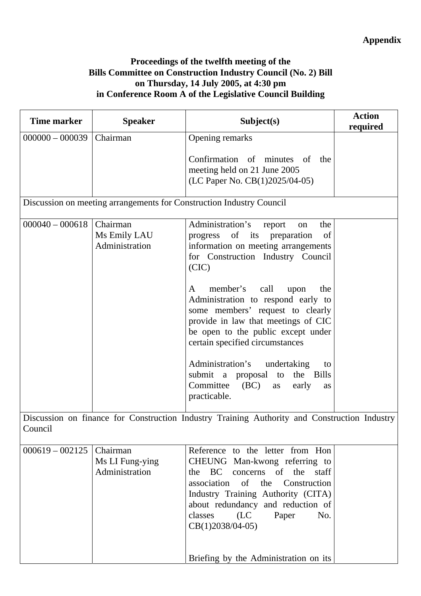## **Proceedings of the twelfth meeting of the Bills Committee on Construction Industry Council (No. 2) Bill on Thursday, 14 July 2005, at 4:30 pm in Conference Room A of the Legislative Council Building**

| <b>Time marker</b> | <b>Speaker</b>                                | Subject(s)                                                                                                                                                                                                                                                                                                                                                                                                                                                                                                                                           | <b>Action</b><br>required |
|--------------------|-----------------------------------------------|------------------------------------------------------------------------------------------------------------------------------------------------------------------------------------------------------------------------------------------------------------------------------------------------------------------------------------------------------------------------------------------------------------------------------------------------------------------------------------------------------------------------------------------------------|---------------------------|
| $000000 - 000039$  | Chairman                                      | Opening remarks                                                                                                                                                                                                                                                                                                                                                                                                                                                                                                                                      |                           |
|                    |                                               | Confirmation of minutes of<br>the<br>meeting held on 21 June 2005<br>(LC Paper No. CB(1)2025/04-05)                                                                                                                                                                                                                                                                                                                                                                                                                                                  |                           |
|                    |                                               | Discussion on meeting arrangements for Construction Industry Council                                                                                                                                                                                                                                                                                                                                                                                                                                                                                 |                           |
| $000040 - 000618$  | Chairman<br>Ms Emily LAU<br>Administration    | Administration's<br>the<br>report<br>on<br>progress of<br>its<br>preparation<br>of<br>information on meeting arrangements<br>for Construction Industry Council<br>(CIC)<br>member's<br>call<br>the<br>A<br>upon<br>Administration to respond early to<br>some members' request to clearly<br>provide in law that meetings of CIC<br>be open to the public except under<br>certain specified circumstances<br>Administration's<br>undertaking<br>to<br>submit a proposal<br>to<br>the Bills<br>Committee<br>(BC)<br>early<br>as<br>as<br>practicable. |                           |
| Council            |                                               | Discussion on finance for Construction Industry Training Authority and Construction Industry                                                                                                                                                                                                                                                                                                                                                                                                                                                         |                           |
| $000619 - 002125$  | Chairman<br>Ms LI Fung-ying<br>Administration | Reference to the letter from Hon<br>CHEUNG Man-kwong referring to<br>concerns of the staff<br>BC.<br>the<br>association of the Construction<br>Industry Training Authority (CITA)<br>about redundancy and reduction of<br>classes<br>(LC)<br>Paper<br>No.<br>$CB(1)2038/04-05)$<br>Briefing by the Administration on its                                                                                                                                                                                                                             |                           |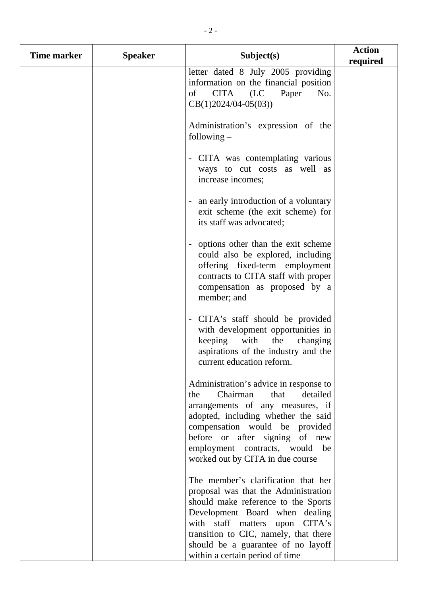| Time marker | <b>Speaker</b> | Subject(s)                                                                                                                                                                                                                                                                                               | <b>Action</b><br>required |
|-------------|----------------|----------------------------------------------------------------------------------------------------------------------------------------------------------------------------------------------------------------------------------------------------------------------------------------------------------|---------------------------|
|             |                | letter dated 8 July 2005 providing<br>information on the financial position<br>Paper<br>(LC)<br>CITA<br>No.<br>of<br>$CB(1)2024/04-05(03))$                                                                                                                                                              |                           |
|             |                | Administration's expression of the<br>following $-$                                                                                                                                                                                                                                                      |                           |
|             |                | - CITA was contemplating various<br>ways to cut costs as well as<br>increase incomes;                                                                                                                                                                                                                    |                           |
|             |                | an early introduction of a voluntary<br>exit scheme (the exit scheme) for<br>its staff was advocated;                                                                                                                                                                                                    |                           |
|             |                | options other than the exit scheme<br>could also be explored, including<br>offering fixed-term employment<br>contracts to CITA staff with proper<br>compensation as proposed by a<br>member; and                                                                                                         |                           |
|             |                | CITA's staff should be provided<br>with development opportunities in<br>keeping with<br>the<br>changing<br>aspirations of the industry and the<br>current education reform.                                                                                                                              |                           |
|             |                | Administration's advice in response to<br>Chairman<br>that<br>detailed<br>the<br>arrangements of any measures, if<br>adopted, including whether the said<br>compensation would be provided<br>before or after signing of new<br>employment contracts, would<br>be<br>worked out by CITA in due course    |                           |
|             |                | The member's clarification that her<br>proposal was that the Administration<br>should make reference to the Sports<br>Development Board when dealing<br>with staff matters upon CITA's<br>transition to CIC, namely, that there<br>should be a guarantee of no layoff<br>within a certain period of time |                           |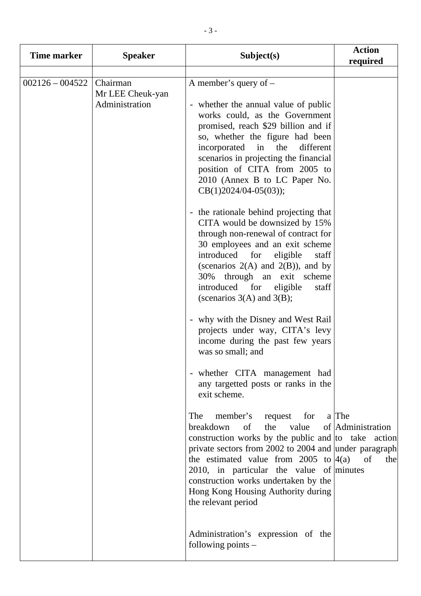| <b>Time marker</b> | <b>Speaker</b>                                 | Subject(s)                                                                                                                                                                                                                                                                                                                                                                                                                                                                                                                                                                                                                                                                                                                                                                                                                                                                                                                                                                                                                                                                                                                                                                                                                                                                                                                                                          | <b>Action</b><br>required       |
|--------------------|------------------------------------------------|---------------------------------------------------------------------------------------------------------------------------------------------------------------------------------------------------------------------------------------------------------------------------------------------------------------------------------------------------------------------------------------------------------------------------------------------------------------------------------------------------------------------------------------------------------------------------------------------------------------------------------------------------------------------------------------------------------------------------------------------------------------------------------------------------------------------------------------------------------------------------------------------------------------------------------------------------------------------------------------------------------------------------------------------------------------------------------------------------------------------------------------------------------------------------------------------------------------------------------------------------------------------------------------------------------------------------------------------------------------------|---------------------------------|
| $002126 - 004522$  | Chairman<br>Mr LEE Cheuk-yan<br>Administration | A member's query of $-$<br>- whether the annual value of public<br>works could, as the Government<br>promised, reach \$29 billion and if<br>so, whether the figure had been<br>different<br>incorporated<br>the<br>in<br>scenarios in projecting the financial<br>position of CITA from 2005 to<br>2010 (Annex B to LC Paper No.<br>$CB(1)2024/04-05(03));$<br>- the rationale behind projecting that<br>CITA would be downsized by 15%<br>through non-renewal of contract for<br>30 employees and an exit scheme<br>introduced for<br>eligible<br>staff<br>(scenarios $2(A)$ and $2(B)$ ), and by<br>30% through an exit scheme<br>introduced for<br>eligible<br>staff<br>(scenarios $3(A)$ and $3(B)$ ;<br>- why with the Disney and West Rail<br>projects under way, CITA's levy<br>income during the past few years<br>was so small; and<br>- whether CITA management had<br>any targetted posts or ranks in the<br>exit scheme.<br>member's<br>request for a The<br>The<br>the<br>value<br>breakdown<br>of<br>construction works by the public and to take action<br>private sectors from 2002 to 2004 and under paragraph<br>the estimated value from 2005 to $ 4(a) $<br>2010, in particular the value of minutes<br>construction works undertaken by the<br>Hong Kong Housing Authority during<br>the relevant period<br>Administration's expression of the | of Administration<br>of<br>thel |
|                    |                                                | following points $-$                                                                                                                                                                                                                                                                                                                                                                                                                                                                                                                                                                                                                                                                                                                                                                                                                                                                                                                                                                                                                                                                                                                                                                                                                                                                                                                                                |                                 |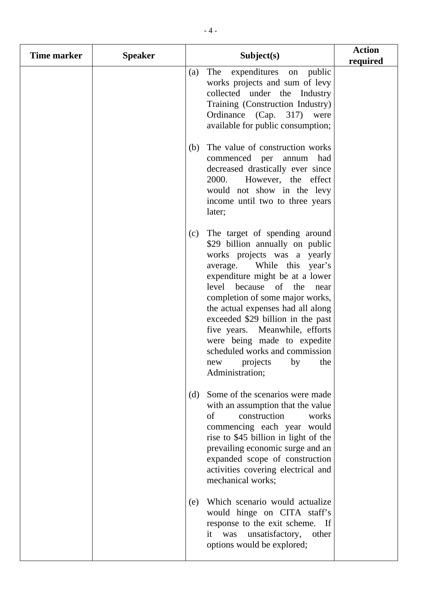| <b>Time marker</b> | <b>Speaker</b> |     | Subject(s)                                                                                                                                                                                                                                                                                                                                                                                                                                                    | <b>Action</b><br>required |
|--------------------|----------------|-----|---------------------------------------------------------------------------------------------------------------------------------------------------------------------------------------------------------------------------------------------------------------------------------------------------------------------------------------------------------------------------------------------------------------------------------------------------------------|---------------------------|
|                    |                | (a) | The expenditures on<br>public<br>works projects and sum of levy<br>collected under the Industry<br>Training (Construction Industry)<br>Ordinance (Cap. 317)<br>were<br>available for public consumption;                                                                                                                                                                                                                                                      |                           |
|                    |                | (b) | The value of construction works<br>commenced per annum<br>had<br>decreased drastically ever since<br>2000.<br>However, the effect<br>would not show in the levy<br>income until two to three years<br>later;                                                                                                                                                                                                                                                  |                           |
|                    |                | (c) | The target of spending around<br>\$29 billion annually on public<br>works projects was a yearly<br>While this year's<br>average.<br>expenditure might be at a lower<br>level because of the<br>near<br>completion of some major works,<br>the actual expenses had all along<br>exceeded \$29 billion in the past<br>five years. Meanwhile, efforts<br>were being made to expedite<br>scheduled works and commission<br>new projects by the<br>Administration; |                           |
|                    |                | (d) | Some of the scenarios were made.<br>with an assumption that the value<br>construction<br>of<br>works<br>commencing each year would<br>rise to \$45 billion in light of the<br>prevailing economic surge and an<br>expanded scope of construction<br>activities covering electrical and<br>mechanical works;                                                                                                                                                   |                           |
|                    |                | (e) | Which scenario would actualize<br>would hinge on CITA staff's<br>response to the exit scheme. If<br>it was<br>unsatisfactory,<br>other<br>options would be explored;                                                                                                                                                                                                                                                                                          |                           |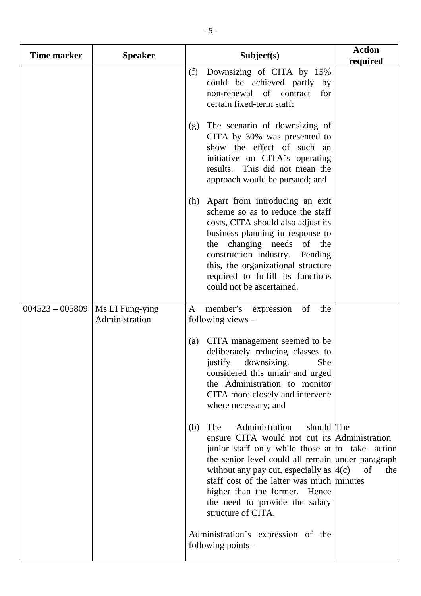| <b>Time marker</b> | <b>Speaker</b>                    | Subject(s)                                                                                                                                                                                                                                                                                                                                                                              | <b>Action</b><br>required |
|--------------------|-----------------------------------|-----------------------------------------------------------------------------------------------------------------------------------------------------------------------------------------------------------------------------------------------------------------------------------------------------------------------------------------------------------------------------------------|---------------------------|
|                    |                                   | Downsizing of CITA by 15%<br>(f)<br>could be achieved partly by<br>non-renewal of contract<br>for<br>certain fixed-term staff;                                                                                                                                                                                                                                                          |                           |
|                    |                                   | The scenario of downsizing of<br>(g)<br>CITA by 30% was presented to<br>show the effect of such an<br>initiative on CITA's operating<br>results. This did not mean the<br>approach would be pursued; and                                                                                                                                                                                |                           |
|                    |                                   | Apart from introducing an exit<br>(h)<br>scheme so as to reduce the staff<br>costs, CITA should also adjust its<br>business planning in response to<br>the changing needs of the<br>construction industry. Pending<br>this, the organizational structure<br>required to fulfill its functions<br>could not be ascertained.                                                              |                           |
| $004523 - 005809$  | Ms LI Fung-ying<br>Administration | member's<br>of<br>the<br>expression<br>A<br>following views $-$                                                                                                                                                                                                                                                                                                                         |                           |
|                    |                                   | CITA management seemed to be<br>(a)<br>deliberately reducing classes to<br>justify downsizing.<br>She<br>considered this unfair and urged<br>the Administration to monitor<br>CITA more closely and intervene<br>where necessary; and                                                                                                                                                   |                           |
|                    |                                   | should The<br>The<br>Administration<br>(b)<br>ensure CITA would not cut its Administration<br>junior staff only while those at to take action<br>the senior level could all remain under paragraph<br>without any pay cut, especially as $ 4(c) $<br>staff cost of the latter was much minutes<br>higher than the former. Hence<br>the need to provide the salary<br>structure of CITA. | of<br>the                 |
|                    |                                   | Administration's expression of the<br>following points $-$                                                                                                                                                                                                                                                                                                                              |                           |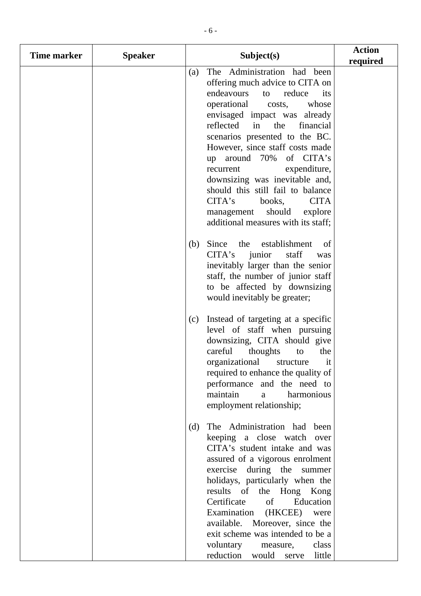| Time marker | <b>Speaker</b> |     | Subject(s)                                                                                                                                                                                                                                                                                                                                                                                                                                                                                                                         | <b>Action</b><br>required |
|-------------|----------------|-----|------------------------------------------------------------------------------------------------------------------------------------------------------------------------------------------------------------------------------------------------------------------------------------------------------------------------------------------------------------------------------------------------------------------------------------------------------------------------------------------------------------------------------------|---------------------------|
|             |                | (a) | The Administration had been<br>offering much advice to CITA on<br>endeavours<br>reduce<br>to<br>its<br>operational<br>whose<br>costs,<br>envisaged impact was already<br>reflected<br>in<br>the<br>financial<br>scenarios presented to the BC.<br>However, since staff costs made<br>of CITA's<br>up around $70%$<br>expenditure,<br>recurrent<br>downsizing was inevitable and,<br>should this still fail to balance<br>CITA's<br><b>CITA</b><br>books,<br>should<br>explore<br>management<br>additional measures with its staff; |                           |
|             |                | (b) | Since the establishment<br>of<br>CITA's<br>staff<br>junior<br>was<br>inevitably larger than the senior<br>staff, the number of junior staff<br>to be affected by downsizing<br>would inevitably be greater;                                                                                                                                                                                                                                                                                                                        |                           |
|             |                | (c) | Instead of targeting at a specific<br>level of staff when pursuing<br>downsizing, CITA should give<br>careful<br>thoughts<br>to<br>the<br>organizational structure<br><i>it</i><br>required to enhance the quality of<br>performance and the need to<br>maintain<br>harmonious<br>a<br>employment relationship;                                                                                                                                                                                                                    |                           |
|             |                | (d) | The Administration had been<br>keeping a close watch over<br>CITA's student intake and was<br>assured of a vigorous enrolment<br>exercise during the<br>summer<br>holidays, particularly when the<br>the Hong Kong<br>results of<br>Certificate<br>of<br>Education<br>Examination (HKCEE) were<br>available. Moreover, since the<br>exit scheme was intended to be a<br>voluntary<br>class<br>measure,<br>reduction<br>would<br>little<br>serve                                                                                    |                           |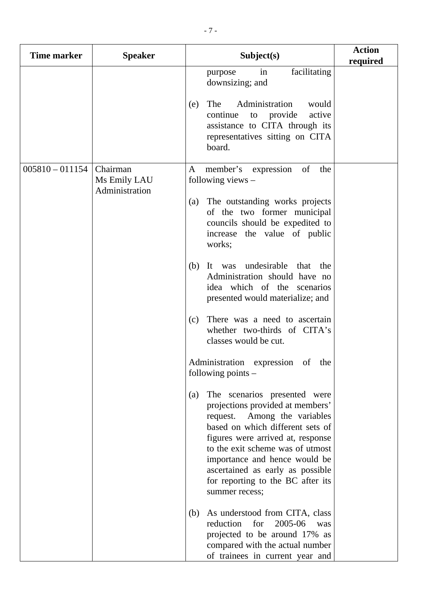| <b>Time marker</b> | <b>Speaker</b>                             | Subject(s)                                                                                                                                                                                                                                                                                                                                       | <b>Action</b><br>required |
|--------------------|--------------------------------------------|--------------------------------------------------------------------------------------------------------------------------------------------------------------------------------------------------------------------------------------------------------------------------------------------------------------------------------------------------|---------------------------|
|                    |                                            | facilitating<br>in<br>purpose<br>downsizing; and                                                                                                                                                                                                                                                                                                 |                           |
|                    |                                            | The<br>Administration<br>would<br>(e)<br>to provide<br>active<br>continue<br>assistance to CITA through its<br>representatives sitting on CITA<br>board.                                                                                                                                                                                         |                           |
| $005810 - 011154$  | Chairman<br>Ms Emily LAU<br>Administration | member's expression<br>of<br>A<br>the<br>following views $-$                                                                                                                                                                                                                                                                                     |                           |
|                    |                                            | The outstanding works projects<br>(a)<br>of the two former municipal<br>councils should be expedited to<br>increase the value of public<br>works;                                                                                                                                                                                                |                           |
|                    |                                            | undesirable<br>(b)<br>that<br>It was<br>the<br>Administration should have no<br>idea which of the scenarios<br>presented would materialize; and                                                                                                                                                                                                  |                           |
|                    |                                            | There was a need to ascertain<br>(c)<br>whether two-thirds of CITA's<br>classes would be cut.                                                                                                                                                                                                                                                    |                           |
|                    |                                            | Administration expression of the<br>following points $-$                                                                                                                                                                                                                                                                                         |                           |
|                    |                                            | The scenarios presented were<br>(a)<br>projections provided at members'<br>request. Among the variables<br>based on which different sets of<br>figures were arrived at, response<br>to the exit scheme was of utmost<br>importance and hence would be<br>ascertained as early as possible<br>for reporting to the BC after its<br>summer recess; |                           |
|                    |                                            | As understood from CITA, class<br>(b)<br>2005-06<br>reduction<br>for<br>was<br>projected to be around 17% as<br>compared with the actual number<br>of trainees in current year and                                                                                                                                                               |                           |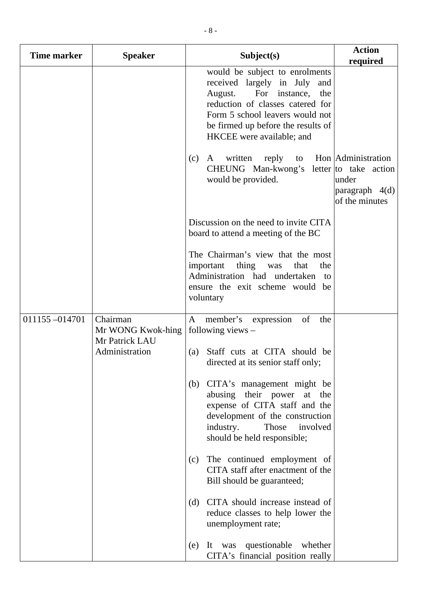| <b>Time marker</b> | <b>Speaker</b>                   | Subject(s)                                                                                                                                                                                                                               | <b>Action</b><br>required                                                                     |
|--------------------|----------------------------------|------------------------------------------------------------------------------------------------------------------------------------------------------------------------------------------------------------------------------------------|-----------------------------------------------------------------------------------------------|
|                    |                                  | would be subject to enrolments<br>received largely in July and<br>August.<br>For instance, the<br>reduction of classes catered for<br>Form 5 school leavers would not<br>be firmed up before the results of<br>HKCEE were available; and |                                                                                               |
|                    |                                  | written<br>(c)<br>reply<br>A<br>CHEUNG Man-kwong's<br>would be provided.                                                                                                                                                                 | to Hon Administration<br>letter to take action<br>under<br>paragraph $4(d)$<br>of the minutes |
|                    |                                  | Discussion on the need to invite CITA<br>board to attend a meeting of the BC                                                                                                                                                             |                                                                                               |
|                    |                                  | The Chairman's view that the most<br>important thing was<br>that<br>the<br>Administration had undertaken to<br>ensure the exit scheme would be<br>voluntary                                                                              |                                                                                               |
| 011155-014701      | Chairman<br>Mr WONG Kwok-hing    | member's expression<br>of<br>$\mathbf{A}$<br>the<br>following views $-$                                                                                                                                                                  |                                                                                               |
|                    | Mr Patrick LAU<br>Administration | (a) Staff cuts at CITA should be<br>directed at its senior staff only;                                                                                                                                                                   |                                                                                               |
|                    |                                  | CITA's management might be<br>(b)<br>abusing their power at the<br>expense of CITA staff and the<br>development of the construction<br>industry.<br>Those<br>involved<br>should be held responsible;                                     |                                                                                               |
|                    |                                  | The continued employment of<br>(c)<br>CITA staff after enactment of the<br>Bill should be guaranteed;                                                                                                                                    |                                                                                               |
|                    |                                  | CITA should increase instead of<br>(d)<br>reduce classes to help lower the<br>unemployment rate;                                                                                                                                         |                                                                                               |
|                    |                                  | It was questionable whether<br>(e)<br>CITA's financial position really                                                                                                                                                                   |                                                                                               |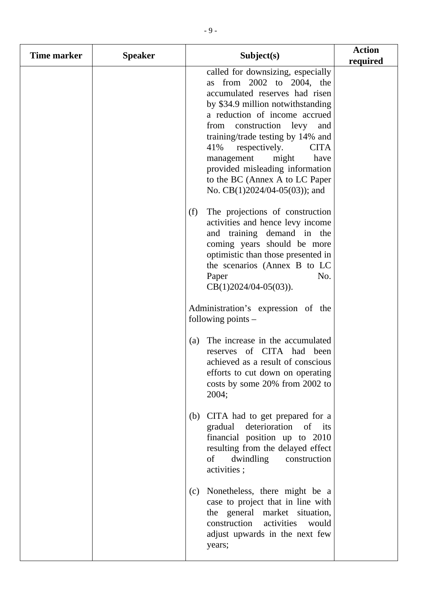| Time marker | <b>Speaker</b> |     | Subject(s)                                                                                                                                                                                                                                                                                                                                                                                                                         | <b>Action</b><br>required |
|-------------|----------------|-----|------------------------------------------------------------------------------------------------------------------------------------------------------------------------------------------------------------------------------------------------------------------------------------------------------------------------------------------------------------------------------------------------------------------------------------|---------------------------|
|             |                |     | called for downsizing, especially<br>as from 2002 to 2004, the<br>accumulated reserves had risen<br>by \$34.9 million notwithstanding<br>a reduction of income accrued<br>construction levy<br>from<br>and<br>training/trade testing by 14% and<br>41%<br>respectively.<br><b>CITA</b><br>might<br>management<br>have<br>provided misleading information<br>to the BC (Annex A to LC Paper<br>No. CB $(1)$ 2024/04-05 $(03)$ ; and |                           |
|             |                | (f) | The projections of construction<br>activities and hence levy income<br>and training demand in the<br>coming years should be more<br>optimistic than those presented in<br>the scenarios (Annex B to LC<br>Paper<br>No.<br>$CB(1)2024/04-05(03)).$                                                                                                                                                                                  |                           |
|             |                |     | Administration's expression of the<br>following points $-$                                                                                                                                                                                                                                                                                                                                                                         |                           |
|             |                | (a) | The increase in the accumulated<br>of CITA had<br>been<br>reserves<br>achieved as a result of conscious<br>efforts to cut down on operating<br>costs by some 20% from 2002 to<br>2004;                                                                                                                                                                                                                                             |                           |
|             |                | (b) | CITA had to get prepared for a<br>deterioration<br>gradual<br>of<br>its<br>financial position up to 2010<br>resulting from the delayed effect<br>of<br>dwindling<br>construction<br>activities;                                                                                                                                                                                                                                    |                           |
|             |                | (c) | Nonetheless, there might be a<br>case to project that in line with<br>the general market situation,<br>construction<br>activities<br>would<br>adjust upwards in the next few<br>years;                                                                                                                                                                                                                                             |                           |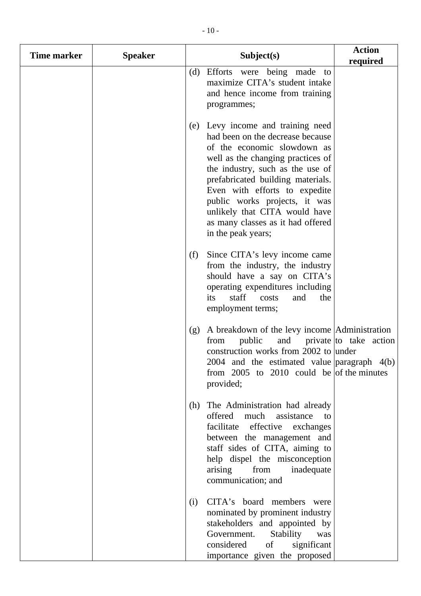| <b>Time marker</b> | <b>Speaker</b> |     | Subject(s)                                                                                                                                                                                                                                                                                                                                                                       | <b>Action</b><br>required  |
|--------------------|----------------|-----|----------------------------------------------------------------------------------------------------------------------------------------------------------------------------------------------------------------------------------------------------------------------------------------------------------------------------------------------------------------------------------|----------------------------|
|                    |                | (d) | Efforts were being made to<br>maximize CITA's student intake<br>and hence income from training<br>programmes;                                                                                                                                                                                                                                                                    |                            |
|                    |                |     | (e) Levy income and training need<br>had been on the decrease because<br>of the economic slowdown as<br>well as the changing practices of<br>the industry, such as the use of<br>prefabricated building materials.<br>Even with efforts to expedite<br>public works projects, it was<br>unlikely that CITA would have<br>as many classes as it had offered<br>in the peak years; |                            |
|                    |                | (f) | Since CITA's levy income came<br>from the industry, the industry<br>should have a say on CITA's<br>operating expenditures including<br>staff<br>its<br>costs<br>and<br>the<br>employment terms;                                                                                                                                                                                  |                            |
|                    |                | (g) | A breakdown of the levy income Administration<br>public<br>from<br>construction works from 2002 to under<br>2004 and the estimated value $\alpha$ paragraph 4(b)<br>from $2005$ to $2010$ could be of the minutes<br>provided;                                                                                                                                                   | and private to take action |
|                    |                | (h) | The Administration had already<br>offered<br>much<br>assistance<br>to<br>facilitate effective exchanges<br>between the management and<br>staff sides of CITA, aiming to<br>help dispel the misconception<br>from<br>arising<br>inadequate<br>communication; and                                                                                                                  |                            |
|                    |                | (i) | CITA's board members were<br>nominated by prominent industry<br>stakeholders and appointed by<br>Government.<br>Stability<br>was<br>considered<br>of<br>significant<br>importance given the proposed                                                                                                                                                                             |                            |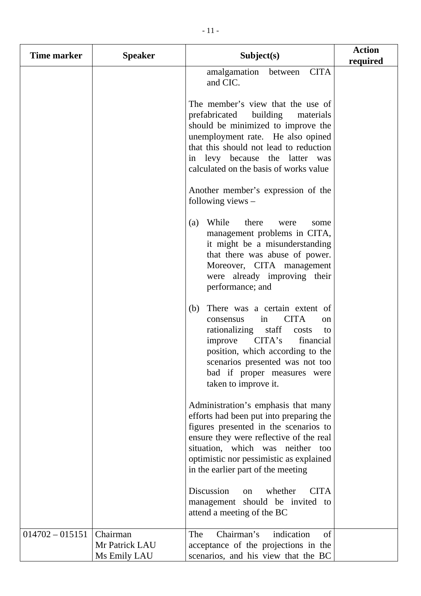| Time marker       | <b>Speaker</b>             | Subject(s)                                                                                                                                                                                                                                                                                       | <b>Action</b><br>required |
|-------------------|----------------------------|--------------------------------------------------------------------------------------------------------------------------------------------------------------------------------------------------------------------------------------------------------------------------------------------------|---------------------------|
|                   |                            | <b>CITA</b><br>amalgamation<br>between<br>and CIC.                                                                                                                                                                                                                                               |                           |
|                   |                            | The member's view that the use of<br>prefabricated<br>building<br>materials<br>should be minimized to improve the<br>unemployment rate. He also opined<br>that this should not lead to reduction<br>in levy because the latter was<br>calculated on the basis of works value                     |                           |
|                   |                            | Another member's expression of the<br>following views $-$                                                                                                                                                                                                                                        |                           |
|                   |                            | While<br>there<br>(a)<br>were<br>some<br>management problems in CITA,<br>it might be a misunderstanding<br>that there was abuse of power.<br>Moreover, CITA management<br>were already improving their<br>performance; and                                                                       |                           |
|                   |                            | (b)<br>There was a certain extent of<br><b>CITA</b><br>consensus<br>in<br><sub>on</sub><br>rationalizing<br>staff<br>costs<br>to<br>CITA's<br>improve<br>financial<br>position, which according to the<br>scenarios presented was not too<br>bad if proper measures were<br>taken to improve it. |                           |
|                   |                            | Administration's emphasis that many<br>efforts had been put into preparing the<br>figures presented in the scenarios to<br>ensure they were reflective of the real<br>situation, which was neither<br>too<br>optimistic nor pessimistic as explained<br>in the earlier part of the meeting       |                           |
|                   |                            | Discussion<br><b>CITA</b><br>whether<br>on<br>management should be invited to<br>attend a meeting of the BC                                                                                                                                                                                      |                           |
| $014702 - 015151$ | Chairman<br>Mr Patrick LAU | Chairman's<br>indication<br>The<br>of<br>acceptance of the projections in the                                                                                                                                                                                                                    |                           |
|                   | Ms Emily LAU               | scenarios, and his view that the BC                                                                                                                                                                                                                                                              |                           |